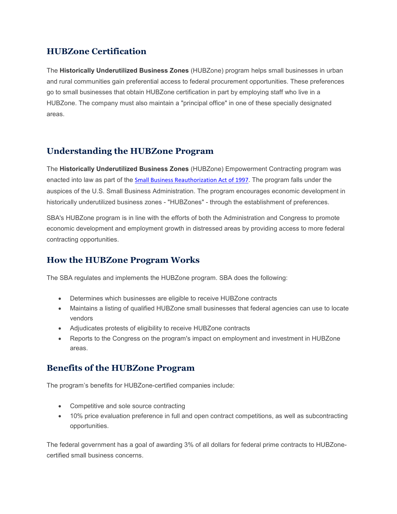## **HUBZone Certification**

The **Historically Underutilized Business Zones** (HUBZone) program helps small businesses in urban and rural communities gain preferential access to federal procurement opportunities. These preferences go to small businesses that obtain HUBZone certification in part by employing staff who live in a HUBZone. The company must also maintain a "principal office" in one of these specially designated areas.

#### **Understanding the HUBZone Program**

The **Historically Underutilized Business Zones** (HUBZone) Empowerment Contracting program was enacted into law as part of the Small Business Reauthorization Act of 1997. The program falls under the auspices of the U.S. Small Business Administration. The program encourages economic development in historically underutilized business zones - "HUBZones" - through the establishment of preferences.

SBA's HUBZone program is in line with the efforts of both the Administration and Congress to promote economic development and employment growth in distressed areas by providing access to more federal contracting opportunities.

## **How the HUBZone Program Works**

The SBA regulates and implements the HUBZone program. SBA does the following:

- Determines which businesses are eligible to receive HUBZone contracts
- Maintains a listing of qualified HUBZone small businesses that federal agencies can use to locate vendors
- Adjudicates protests of eligibility to receive HUBZone contracts
- Reports to the Congress on the program's impact on employment and investment in HUBZone areas.

#### **Benefits of the HUBZone Program**

The program's benefits for HUBZone-certified companies include:

- Competitive and sole source contracting
- 10% price evaluation preference in full and open contract competitions, as well as subcontracting opportunities.

The federal government has a goal of awarding 3% of all dollars for federal prime contracts to HUBZonecertified small business concerns.